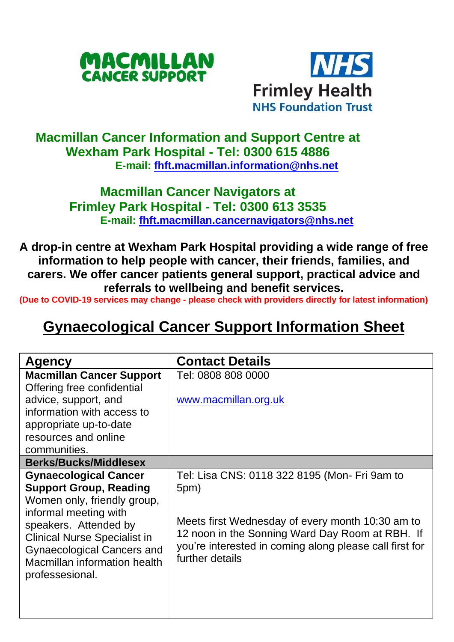



## **Macmillan Cancer Information and Support Centre at Wexham Park Hospital - Tel: 0300 615 4886 E-mail: [fhft.macmillan.information@nhs.net](mailto:fhft.macmillan.information@nhs.net)**

### **Macmillan Cancer Navigators at Frimley Park Hospital - Tel: 0300 613 3535 E-mail: [fhft.macmillan.cancernavigators@nhs.net](mailto:fhft.macmillan.cancernavigators@nhs.net)**

**A drop-in centre at Wexham Park Hospital providing a wide range of free information to help people with cancer, their friends, families, and carers. We offer cancer patients general support, practical advice and referrals to wellbeing and benefit services.**

**(Due to COVID-19 services may change - please check with providers directly for latest information)** 

# **Gynaecological Cancer Support Information Sheet**

| Agency                                                     | <b>Contact Details</b>                                  |
|------------------------------------------------------------|---------------------------------------------------------|
| <b>Macmillan Cancer Support</b>                            | Tel: 0808 808 0000                                      |
| Offering free confidential                                 |                                                         |
| advice, support, and                                       | www.macmillan.org.uk                                    |
| information with access to                                 |                                                         |
| appropriate up-to-date                                     |                                                         |
| resources and online                                       |                                                         |
| communities.                                               |                                                         |
| <b>Berks/Bucks/Middlesex</b>                               |                                                         |
| <b>Gynaecological Cancer</b>                               | Tel: Lisa CNS: 0118 322 8195 (Mon- Fri 9am to           |
| <b>Support Group, Reading</b>                              | 5pm)                                                    |
| Women only, friendly group,                                |                                                         |
| informal meeting with                                      | Meets first Wednesday of every month 10:30 am to        |
| speakers. Attended by                                      | 12 noon in the Sonning Ward Day Room at RBH. If         |
| Clinical Nurse Specialist in                               | you're interested in coming along please call first for |
| Gynaecological Cancers and<br>Macmillan information health | further details                                         |
| professesional.                                            |                                                         |
|                                                            |                                                         |
|                                                            |                                                         |
|                                                            |                                                         |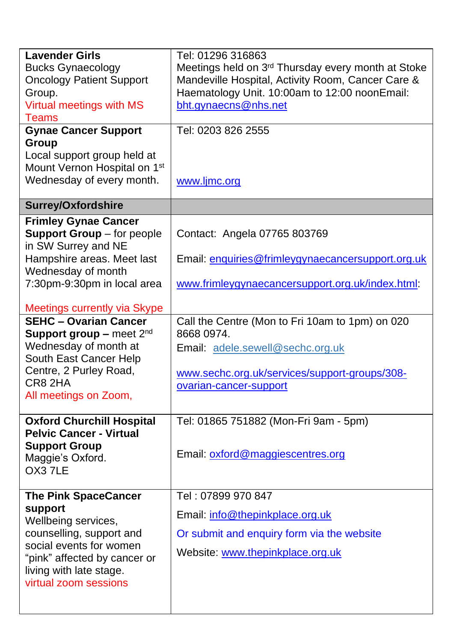| <b>Lavender Girls</b>                                   | Tel: 01296 316863                                              |  |  |  |
|---------------------------------------------------------|----------------------------------------------------------------|--|--|--|
| <b>Bucks Gynaecology</b>                                | Meetings held on 3 <sup>rd</sup> Thursday every month at Stoke |  |  |  |
| <b>Oncology Patient Support</b>                         | Mandeville Hospital, Activity Room, Cancer Care &              |  |  |  |
| Group.                                                  | Haematology Unit. 10:00am to 12:00 noonEmail:                  |  |  |  |
| Virtual meetings with MS                                | bht.gynaecns@nhs.net                                           |  |  |  |
| <b>Teams</b>                                            |                                                                |  |  |  |
| <b>Gynae Cancer Support</b>                             | Tel: 0203 826 2555                                             |  |  |  |
| Group                                                   |                                                                |  |  |  |
| Local support group held at                             |                                                                |  |  |  |
| Mount Vernon Hospital on 1st                            |                                                                |  |  |  |
| Wednesday of every month.                               | www.ljmc.org                                                   |  |  |  |
| <b>Surrey/Oxfordshire</b>                               |                                                                |  |  |  |
| <b>Frimley Gynae Cancer</b>                             |                                                                |  |  |  |
| Support Group - for people                              | Contact: Angela 07765 803769                                   |  |  |  |
| in SW Surrey and NE                                     |                                                                |  |  |  |
| Hampshire areas. Meet last                              | Email: enquiries@frimleygynaecancersupport.org.uk              |  |  |  |
| Wednesday of month                                      |                                                                |  |  |  |
| 7:30pm-9:30pm in local area                             | www.frimleygynaecancersupport.org.uk/index.html:               |  |  |  |
|                                                         |                                                                |  |  |  |
| <b>Meetings currently via Skype</b>                     |                                                                |  |  |  |
| <b>SEHC - Ovarian Cancer</b>                            | Call the Centre (Mon to Fri 10am to 1pm) on 020                |  |  |  |
| Support group - meet $2^{nd}$                           | 8668 0974.                                                     |  |  |  |
| Wednesday of month at                                   | Email: adele.sewell@sechc.org.uk                               |  |  |  |
| South East Cancer Help                                  |                                                                |  |  |  |
| Centre, 2 Purley Road,<br>CR8 2HA                       | www.sechc.org.uk/services/support-groups/308-                  |  |  |  |
| All meetings on Zoom,                                   | ovarian-cancer-support                                         |  |  |  |
|                                                         |                                                                |  |  |  |
| <b>Oxford Churchill Hospital</b>                        | Tel: 01865 751882 (Mon-Fri 9am - 5pm)                          |  |  |  |
| <b>Pelvic Cancer - Virtual</b>                          |                                                                |  |  |  |
| <b>Support Group</b>                                    |                                                                |  |  |  |
| Maggie's Oxford.                                        | Email: oxford@maggiescentres.org                               |  |  |  |
| OX37LE                                                  |                                                                |  |  |  |
|                                                         |                                                                |  |  |  |
| <b>The Pink SpaceCancer</b>                             | Tel: 07899 970 847                                             |  |  |  |
| support<br>Wellbeing services,                          | Email: info@thepinkplace.org.uk                                |  |  |  |
| counselling, support and                                | Or submit and enquiry form via the website                     |  |  |  |
| social events for women<br>"pink" affected by cancer or | Website: www.thepinkplace.org.uk                               |  |  |  |
| living with late stage.                                 |                                                                |  |  |  |
| virtual zoom sessions                                   |                                                                |  |  |  |
|                                                         |                                                                |  |  |  |
|                                                         |                                                                |  |  |  |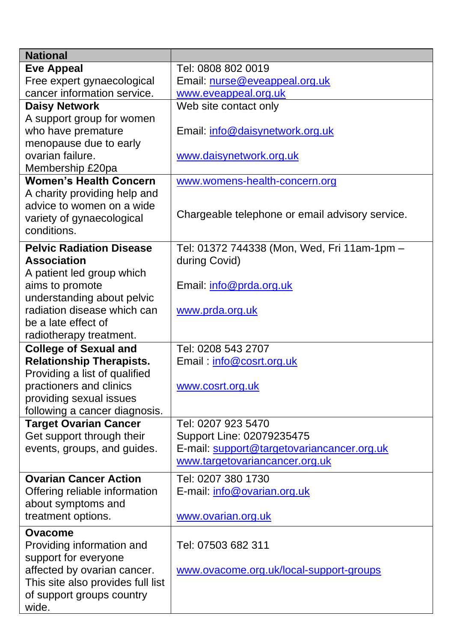| <b>National</b>                                           |                                                 |
|-----------------------------------------------------------|-------------------------------------------------|
| <b>Eve Appeal</b>                                         | Tel: 0808 802 0019                              |
| Free expert gynaecological                                | Email: nurse@eveappeal.org.uk                   |
| cancer information service.                               | www.eveappeal.org.uk                            |
| <b>Daisy Network</b>                                      | Web site contact only                           |
| A support group for women                                 |                                                 |
| who have premature                                        | Email: info@daisynetwork.org.uk                 |
| menopause due to early                                    |                                                 |
| ovarian failure.                                          | www.daisynetwork.org.uk                         |
| Membership £20pa                                          |                                                 |
| <b>Women's Health Concern</b>                             | www.womens-health-concern.org                   |
| A charity providing help and<br>advice to women on a wide |                                                 |
| variety of gynaecological                                 | Chargeable telephone or email advisory service. |
| conditions.                                               |                                                 |
| <b>Pelvic Radiation Disease</b>                           | Tel: 01372 744338 (Mon, Wed, Fri 11am-1pm -     |
| <b>Association</b>                                        | during Covid)                                   |
| A patient led group which                                 |                                                 |
| aims to promote                                           | Email: info@prda.org.uk                         |
| understanding about pelvic                                |                                                 |
| radiation disease which can                               | www.prda.org.uk                                 |
| be a late effect of                                       |                                                 |
| radiotherapy treatment.                                   |                                                 |
| <b>College of Sexual and</b>                              | Tel: 0208 543 2707                              |
| <b>Relationship Therapists.</b>                           | Email: info@cosrt.org.uk                        |
| Providing a list of qualified                             |                                                 |
| practioners and clinics                                   | www.cosrt.org.uk                                |
| providing sexual issues                                   |                                                 |
| following a cancer diagnosis.                             |                                                 |
| <b>Target Ovarian Cancer</b>                              | Tel: 0207 923 5470                              |
| Get support through their                                 | Support Line: 02079235475                       |
| events, groups, and guides.                               | E-mail: support@targetovariancancer.org.uk      |
|                                                           | www.targetovariancancer.org.uk                  |
| <b>Ovarian Cancer Action</b>                              | Tel: 0207 380 1730                              |
| Offering reliable information                             | E-mail: info@ovarian.org.uk                     |
| about symptoms and                                        |                                                 |
| treatment options.                                        | www.ovarian.org.uk                              |
| Ovacome                                                   |                                                 |
| Providing information and                                 | Tel: 07503 682 311                              |
| support for everyone                                      |                                                 |
| affected by ovarian cancer.                               | www.ovacome.org.uk/local-support-groups         |
| This site also provides full list                         |                                                 |
| of support groups country                                 |                                                 |
| wide.                                                     |                                                 |